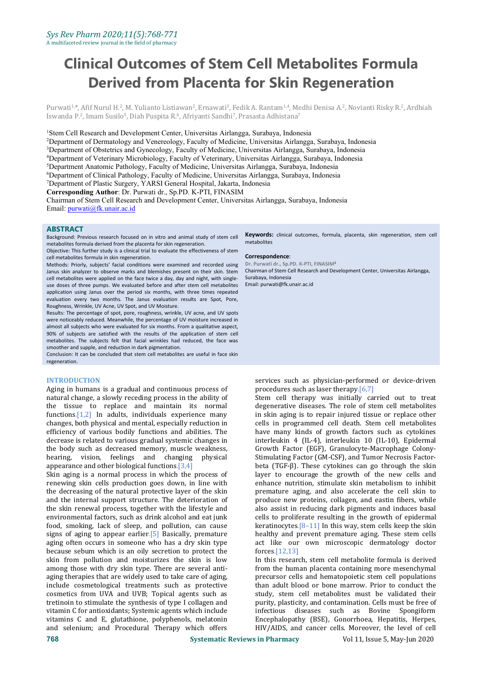# **Clinical Outcomes of Stem Cell Metabolites Formula Derived from Placenta for Skin Regeneration**

Purwati<sup>1,</sup>\*, Afif Nurul H.<del>'</del>, M. Yulianto Listiawan<del>'</del>, Ernawati', Fedik A. Rantam<sup>1,4</sup>, Medhi Denisa A.<sup>2</sup>, Novianti Risky R.<sup>2</sup>, Ardhiah Iswanda P.-, Imam Susilo<sup>5</sup>, Diah Puspita R.°, Afriyanti Sandhi<sup>,</sup>, Prasasta Adhistana<sup>,</sup> 7

<sup>1</sup>Stem Cell Research and Development Center, Universitas Airlangga, Surabaya, Indonesia

<sup>2</sup>Department of Dermatology and Venereology, Faculty of Medicine, Universitas Airlangga, Surabaya, Indonesia

<sup>3</sup>Department of Obstetrics and Gynecology, Faculty of Medicine, Universitas Airlangga, Surabaya, Indonesia

<sup>4</sup>Department of Veterinary Microbiology, Faculty of Veterinary, Universitas Airlangga, Surabaya, Indonesia

<sup>5</sup>Department Anatomic Pathology, Faculty of Medicine, Universitas Airlangga, Surabaya, Indonesia

<sup>6</sup>Department of Clinical Pathology, Faculty of Medicine, Universitas Airlangga, Surabaya, Indonesia

<sup>7</sup>Department of Plastic Surgery, YARSI General Hospital, Jakarta, Indonesia

**Corresponding Author**: Dr. Purwati dr., Sp.PD. K-PTI, FINASIM

Chairman of Stem Cell Research and Development Center, Universitas Airlangga, Surabaya, Indonesia Email: [purwati@fk.unair.ac.id](mailto:purwati@fk.unair.ac.id)

#### **ABSTRACT**

Background: Previous research focused on in vitro and animal study of stem cell metabolites formula derived from the placenta for skin regeneration.

Objective: This further study is a clinical trial to evaluate the effectiveness of stem cell metabolites formula in skin regeneration.

Methods: Priorly, subjects' facial conditions were examined and recorded using Janus skin analyzer to observe marks and blemishes present on their skin. Stem cell metabolites were applied on the face twice a day, day and night, with single use doses of three pumps. We evaluated before and after stem cell metabolites application using Janus over the period six months, with three times repeated evaluation every two months. The Janus evaluation results are Spot, Pore, Roughness, Wrinkle, UV Acne, UV Spot, and UV Moisture.

Results: The percentage of spot, pore, roughness, wrinkle, UV acne, and UV spots were noticeably reduced. Meanwhile, the percentage of UV moisture increased in almost all subjects who were evaluated for six months. From a qualitative aspect, 90% of subjects are satisfied with the results of the application of stem cell metabolites. The subjects felt that facial wrinkles had reduced, the face was smoother and supple, and reduction in dark pigmentation.

Conclusion: It can be concluded that stem cell metabolites are useful in face skin regeneration.

#### **INTRODUCTION**

Aging in humans is a gradual and continuous process of natural change, a slowly receding process in the ability of the tissue to replace and maintain its normal functions.[1,2] In adults, individuals experience many changes, both physical and mental, especially reduction in efficiency of various bodily functions and abilities. The decrease is related to various gradual systemic changes in the body such as decreased memory, muscle weakness, hearing, vision, feelings and changing physical appearance and other biological functions.[3,4]

Skin aging is a normal process in which the process of renewing skin cells production goes down, in line with the decreasing of the natural protective layer of the skin and the internal support structure. The deterioration of the skin renewal process, together with the lifestyle and environmental factors, such as drink alcohol and eat junk food, smoking, lack of sleep, and pollution, can cause signs of aging to appear earlier.[5] Basically, premature aging often occurs in someone who has a dry skin type because sebum which is an oily secretion to protect the skin from pollution and moisturizes the skin is low among those with dry skin type. There are several anti aging therapies that are widely used to take care of aging, include cosmetological treatments such as protective than adult blood or bone marrow. Prior to conduct the cosmetics from UVA and UVB; Topical agents such as study, stem cell metabolites must be validated their cosmetics from UVA and UVB; Topical agents such as tretinoin to stimulate the synthesis of type I collagen and vitamin C for antioxidants; Systemic agents which include vitamins C and E, glutathione, polyphenols, melatonin and selenium; and Procedural Therapy which offers

**Keywords:** clinical outcomes, formula, placenta, skin regeneration, stem cell metabolites

#### **Correspondence**:

**Dr. Purwati dr., Sp.PD. K-PTI, FINASIM**<sup>1</sup> Chairman of Stem Cell Research and Development Center, Universitas Airlangga, Surabaya, Indonesia Email: purwati@fk.unair.ac.id

services such as physician-performed or device-driven procedures such as laser therapy.[6,7]

Stem cell therapy was initially carried out to treat degenerative diseases. The role of stem cell metabolites in skin aging is to repair injured tissue or replace other cells in programmed cell death. Stem cell metabolites have many kinds of growth factors such as cytokines interleukin 4 (IL-4), interleukin 10 (IL-10), Epidermal Growth Factor (EGF), Granulocyte-Macrophage Colony- Stimulating Factor (GM-CSF), and Tumor Necrosis Factor beta (TGF-β). These cytokines can go through the skin layer to encourage the growth of the new cells and enhance nutrition, stimulate skin metabolism to inhibit premature aging, and also accelerate the cell skin to produce new proteins, collagen, and eastin fibers, while also assist in reducing dark pigments and induces basal cells to proliferate resulting in the growth of epidermal keratinocytes. $[8-11]$  In this way, stem cells keep the skin healthy and prevent premature aging. These stem cells act like our own microscopic dermatology doctor forces.[12,13]

In this research, stem cell metabolite formula is derived from the human placenta containing more mesenchymal precursor cells and hematopoietic stem cell populations than adult blood or bone marrow. Prior to conduct the purity, plasticity, and contamination. Cells must be free of infectious diseases such as Bovine Spongiform Encephalopathy (BSE), Gonorrhoea, Hepatitis, Herpes, HIV/AIDS, and cancer cells. Moreover, the level of cell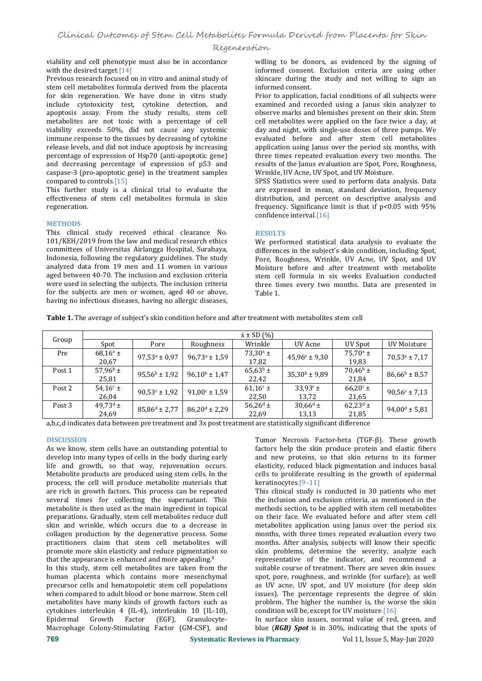# Regeneration

viability and cell phenotype must also be in accordance with the desired target.<sup>[14]</sup>

Previous research focused on in vitro and animal study of stem cell metabolites formula derived from the placenta for skin regeneration. We have done in vitro study include cytotoxicity test, cytokine detection, and apoptosis assay. From the study results, stem cell metabolites are not toxic with a percentage of cell viability exceeds 50%, did not cause any systemic immune response to the tissues by decreasing of cytokine release levels, and did not induce apoptosis by increasing percentage of expression of Hsp70 (anti-apoptotic gene) and decreasing percentage of expression of p53 and caspase-3 (pro-apoptotic gene) in the treatment samples compared to controls.[15]

This further study is a clinical trial to evaluate the effectiveness of stem cell metabolites formula in skin regeneration.

#### **METHODS**

This clinical study received ethical clearance No. 101/KEH/2019 from the law and medical research ethics committees of Universitas Airlangga Hospital, Surabaya, Indonesia, following the regulatory guidelines. The study analyzed data from 19 men and 11 women in various aged between 40-70. The inclusion and exclusion criteria were used in selecting the subjects. The inclusion criteria for the subjects are men or women, aged 40 or above, having no infectious diseases, having no allergic diseases, willing to be donors, as evidenced by the signing of informed consent. Exclusion criteria are using other skincare during the study and not willing to sign an informed consent.

Prior to application, facial conditions of all subjects were examined and recorded using a Janus skin analyzer to observe marks and blemishes present on their skin. Stem cell metabolites were applied on the face twice a day, at day and night, with single-use doses of three pumps. We evaluated before and after stem cell metabolites application using Janus over the period six months, with three times repeated evaluation every two months. The results of the Janus evaluation are Spot, Pore, Roughness, Wrinkle, UV Acne, UV Spot, and UV Moisture.

SPSS Statistics were used to perform data analysis. Data are expressed in mean, standard deviation, frequency distribution, and percent on descriptive analysis and frequency. Significance limit is that if p<0.05 with 95% confidence interval.[16]

## **RESULTS**

We performed statistical data analysis to evaluate the differences in the subject's skin condition, including Spot, Pore, Roughness, Wrinkle, UV Acne, UV Spot, and UV Moisture before and after treatment with metabolite stem cell formula in six weeks Evaluation conducted three times every two months. Data are presented in Table 1.

**Table 1.** The average of subject's skin condition before and after treatment with metabolites stem cell

|                   | $\dot{x}$ ± SD $(\% )$ |                          |                        |                   |                          |                   |                          |
|-------------------|------------------------|--------------------------|------------------------|-------------------|--------------------------|-------------------|--------------------------|
| Group             | Spot                   | Pore                     | Roughness              | Wrinkle           | UV Acne                  | UV Spot           | UV Moisture              |
| Pre               | $68,16^{\rm a}$ ±      | $97.53^a \pm 0.97$       | $96,73^a \pm 1,59$     | $73,30^{\rm a}$ ± | $45,96^{\circ} \pm 9,30$ | $75.70^{\rm a}$ ± | $70,53^a \pm 7,17$       |
|                   | 20,67                  |                          |                        | 17,82             |                          | 19,83             |                          |
| Post <sub>1</sub> | $57,96^{\rm b}$ ±      | $95,56^{\rm b} \pm 1,92$ | $96,10^{b} \pm 1,47$   | $65,63^b \pm$     | $35,30^{\rm b} \pm 9,89$ | $70,46^{\rm b}$ ± | $86,66^b \pm 8,57$       |
|                   | 25,81                  |                          |                        | 22,42             |                          | 21.84             |                          |
| Post 2            | $54,16^{\circ}$ ±      | $90,53^{\circ} \pm 1,92$ | $91,00^{\circ}$ ± 1,59 | $61,16^c \pm$     | $33.93^{\circ}$ ±        | $66.20^{\circ}$ ± | $90,56^{\circ} \pm 7,13$ |
|                   | 26,04                  |                          |                        | 22,50             | 13,72                    | 21,65             |                          |
| Post 3            | $49,73^{\rm d}$ ±      | $85,86^d \pm 2,77$       | $86,20^d \pm 2,29$     | $56,26^{\rm d}$ ± | $30,66^{\rm d}$ ±        | $62,23^d \pm$     | $94,00^d \pm 5,81$       |
|                   | 24,69                  |                          |                        | 22,69             | 13,13                    | 21,85             |                          |

a,b,c,d indicates data between pre treatment and 3x post treatment are statistically significant difference

#### **DISCUSSION**

As we know, stem cells have an outstanding potential to develop into many types of cells in the body during early life and growth, so that way, rejuvenation occurs. Metabolite products are produced using stem cells. In the process, the cell will produce metabolite materials that are rich in growth factors. This process can be repeated several times for collecting the supernatant. This metabolite is then used as the main ingredient in topical preparations. Gradually, stem cell metabolites reduce dull skin and wrinkle, which occurs due to a decrease in collagen production by the degenerative process. Some practitioners claim that stem cell metabolites will promote more skin elasticity and reduce pigmentation so that the appearance is enhanced and more appealing.<sup>8</sup>

In this study, stem cell metabolites are taken from the human placenta which contains more mesenchymal precursor cells and hematopoietic stem cell populations when compared to adult blood or bone marrow. Stem cell metabolites have many kinds of growth factors such as cytokines interleukin 4 (IL-4), interleukin 10 (IL-10), Granulocyte-Macrophage Colony-Stimulating Factor (GM-CSF), and

Tumor Necrosis Factor-beta (TGF-β). These growth factors help the skin produce protein and elastic fibers and new proteins, so that skin returns to its former elasticity, reduced black pigmentation and induces basal cells to proliferate resulting in the growth of epidermal keratinocytes.[9–11]

This clinical study is conducted in 30 patients who met the inclusion and exclusion criteria, as mentioned in the methods section, to be applied with stem cell metabolites on their face. We evaluated before and after stem cell metabolites application using Janus over the period six months, with three times repeated evaluation every two months. After analysis, subjects will know their specific skin problems, determine the severity, analyze each representative of the indicator, and recommend a suitable course of treatment. There are seven skin issues: spot, pore, roughness, and wrinkle (for surface); as well as UV acne, UV spot, and UV moisture (for deep skin issues). The percentage represents the degree of skin problem. The higher the number is, the worse the skin condition will be, except for UV moisture.[16]

In surface skin issues, normal value of red, green, and blue (*RGB) Spot* is in 30%, indicating that the spots of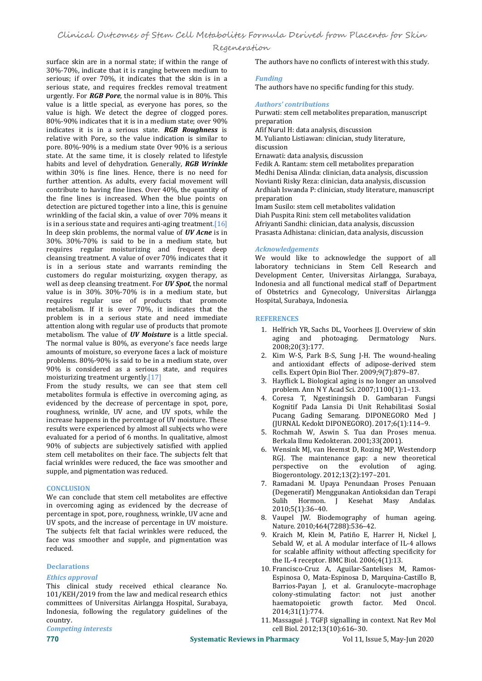# Regeneration

surface skin are in a normal state; if within the range of 30%-70%, indicate that it is ranging between medium to serious; if over 70%, it indicates that the skin is in a serious state, and requires freckles removal treatment urgently. For *RGB Pore*, the normal value isin 80%. This value is a little special, as everyone has pores, so the value is high. We detect the degree of clogged pores. Purwati: sterved Purwati: sterved 80%-90% indicates that it is in a medium state: over 90% intension 80%-90% indicates that it is in a medium state; over 90% indicates it is in a serious state. *RGB Roughness* is relative with Pore, so the value indication is similar to M. Yulianto<br>nore, 80%-90% is a medium state Over 90% is a serious discussion pore. 80%-90% is a medium state Over 90% is a serious state. At the same time, it is closely related to lifestyle habits and level of dehydration. Generally, *RGB Wrinkle* within 30% is fine lines. Hence, there is no need for further attention. As adults, every facial movement will contribute to having fine lines. Over 40%, the quantity of the fine lines is increased. When the blue points on detection are pictured together into a line, this is genuine wrinkling of the facial skin, a value of over 70% means it is in a serious state and requires anti-aging treatment.  $[16]$ In deep skin problems, the normal value of *UV Acne* is in 30%. 30%-70% is said to be in a medium state, but requires regular moisturizing and frequent deep cleansing treatment. A value of over 70% indicates that it is in a serious state and warrants reminding the customers do regular moisturizing, oxygen therapy, as well as deep cleansing treatment. For **UV Spot**, the normal value is in 30%. 30%-70% is in a medium state, but requires regular use of products that promote metabolism. If it is over 70%, it indicates that the problem is in a serious state and need immediate attention along with regular use of products that promote metabolism. The value of *UV Moisture* is a little special. The normal value is 80%, as everyone's face needs large amounts of moisture, so everyone faces a lack of moisture problems. 80%-90% is said to be in a medium state, over 90% is considered as a serious state, and requires moisturizing treatment urgently.[17]

From the study results, we can see that stem cell metabolites formula is effective in overcoming aging, as evidenced by the decrease of percentage in spot, pore, roughness, wrinkle, UV acne, and UV spots, while the increase happens in the percentage of UV moisture. These results were experienced by almost all subjects who were evaluated for a period of 6 months. In qualitative, almost 90% of subjects are subjectively satisfied with applied stem cell metabolites on their face. The subjects felt that facial wrinkles were reduced, the face was smoother and supple, and pigmentation was reduced.

#### **CONCLUSION**

We can conclude that stem cell metabolites are effective in overcoming aging as evidenced by the decrease of percentage in spot, pore, roughness, wrinkle, UV acne and UV spots, and the increase of percentage in UV moisture. The subjects felt that facial wrinkles were reduced, the face was smoother and supple, and pigmentation was reduced.

### **Declarations**

#### *Ethics approval*

This clinical study received ethical clearance No. 101/KEH/2019 from the law and medical research ethics committees of Universitas Airlangga Hospital, Surabaya, Indonesia, following the regulatory guidelines of the

*Competing interests* 

The authors have no conflicts of interest with this study.

#### *Funding*

The authors have no specific funding for this study.

#### *Authors' contributions*

Purwati: stem cell metabolites preparation, manuscript preparation

Afif Nurul H: data analysis, discussion

M. Yulianto Listiawan: clinician, study literature, discussion

Ernawati: data analysis, discussion

Fedik A. Rantam: stem cell metabolites preparation Medhi Denisa Alinda: clinician, data analysis, discussion Novianti Risky Reza: clinician, data analysis, discussion Ardhiah Iswanda P: clinician, study literature, manuscript preparation

Imam Susilo: stem cell metabolites validation Diah Puspita Rini: stem cell metabolites validation Afriyanti Sandhi: clinician, data analysis, discussion Prasasta Adhistana: clinician, data analysis, discussion

#### *Acknowledgements*

We would like to acknowledge the support of all laboratory technicians in Stem Cell Research and Development Center, Universitas Airlangga, Surabaya, Indonesia and all functional medical staff of Department of Obstetrics and Gynecology, Universitas Airlangga Hospital, Surabaya, Indonesia.

#### **REFERENCES**

- 1. Helfrich YR, Sachs DL, Voorhees JJ. Overview of skin aging and photoaging. Dermatology Nurs. 2008;20(3):177.
- 2. Kim W-S, Park B-S, Sung J-H. The wound-healing and antioxidant effects of adipose-derived stem cells. Expert Opin Biol Ther. 2009;9(7):879–87.
- 3. Hayflick L. Biological aging is no longer an unsolved problem. Ann N Y Acad Sci. 2007;1100(1):1–13.
- 4. Coresa T, Ngestiningsih D. Gambaran Fungsi Kognitif Pada Lansia Di Unit Rehabilitasi Sosial Pucang Gading Semarang. DIPONEGORO Med J (JURNAL Kedokt DIPONEGORO). 2017;6(1):114–9.
- 5. Rochmah W, Aswin S.Tua dan Proses menua. Berkala Ilmu Kedokteran. 2001;33(2001).
- 6. Wensink MJ, van Heemst D, Rozing MP, Westendorp RGJ. The maintenance gap: a new theoretical perspective on the evolution of aging. perspective on the Biogerontology. 2012;13(2):197–201.
- 7. Ramadani M. Upaya Penundaan Proses Penuaan (Degeneratif) Menggunakan Antioksidan dan Terapi Sulih Hormon. J Kesehat Masy 2010;5(1):36–40.
- 8. Vaupel JW. Biodemography of human ageing. Nature. 2010;464(7288):536–42.
- 9. Kraich M, Klein M, Patiño E, Harrer H, Nickel J, Sebald W, et al. A modular interface of IL-4 allows for scalable affinity without affecting specificity for the IL-4 receptor. BMC Biol. 2006;4(1):13.
- 10. Francisco-Cruz A, Aguilar-Santelises M, Ramos- Espinosa O, Mata-Espinosa D, Marquina-Castillo B, Barrios-Payan J, et al. Granulocyte–macrophage colony-stimulating factor: not just another<br>haematopoietic growth factor. Med Oncol. haematopoietic growth factor. 2014;31(1):774.
- 11. Massagué J. TGFβ signalling in context. Nat Rev Mol cell Biol. 2012;13(10):616–30.